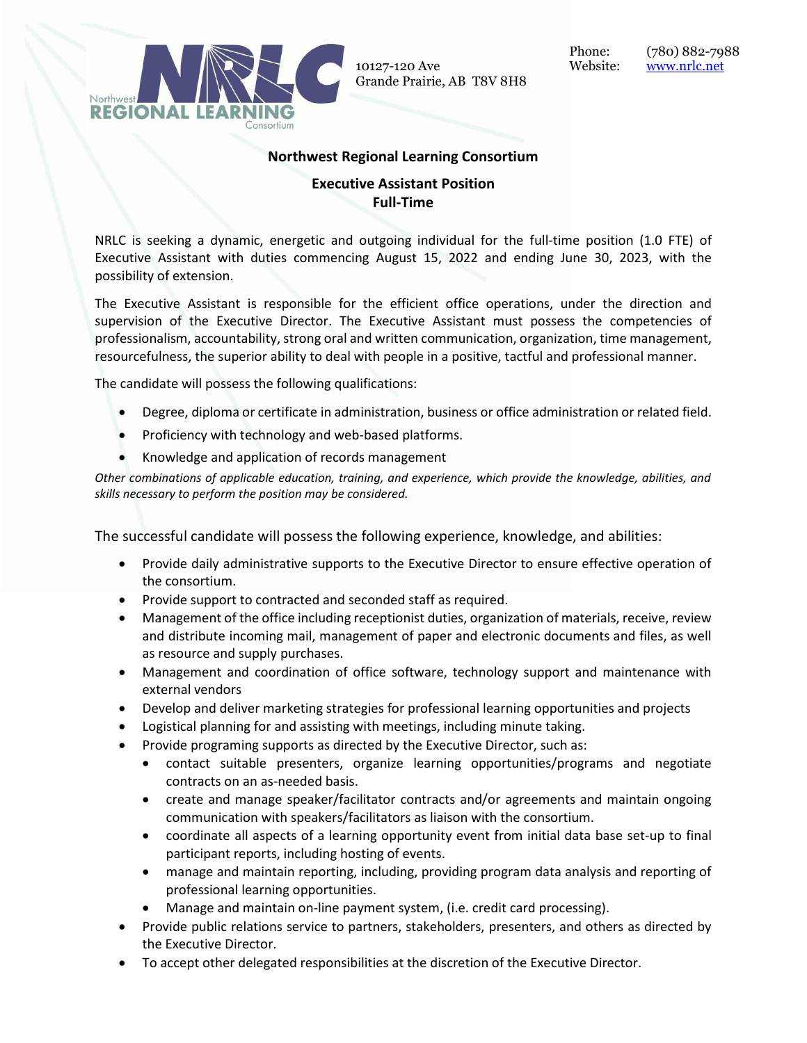

10127-120 Ave Website: [www.nrlc.net](http://www.nrlc.net/) Grande Prairie, AB T8V 8H8

## **Northwest Regional Learning Consortium**

## **Executive Assistant Position Full-Time**

NRLC is seeking a dynamic, energetic and outgoing individual for the full-time position (1.0 FTE) of Executive Assistant with duties commencing August 15, 2022 and ending June 30, 2023, with the possibility of extension.

The Executive Assistant is responsible for the efficient office operations, under the direction and supervision of the Executive Director. The Executive Assistant must possess the competencies of professionalism, accountability, strong oral and written communication, organization, time management, resourcefulness, the superior ability to deal with people in a positive, tactful and professional manner.

The candidate will possess the following qualifications:

- Degree, diploma or certificate in administration, business or office administration or related field.
- Proficiency with technology and web-based platforms.
- Knowledge and application of records management

*Other combinations of applicable education, training, and experience, which provide the knowledge, abilities, and skills necessary to perform the position may be considered.*

The successful candidate will possess the following experience, knowledge, and abilities:

- Provide daily administrative supports to the Executive Director to ensure effective operation of the consortium.
- Provide support to contracted and seconded staff as required.
- Management of the office including receptionist duties, organization of materials, receive, review and distribute incoming mail, management of paper and electronic documents and files, as well as resource and supply purchases.
- Management and coordination of office software, technology support and maintenance with external vendors
- Develop and deliver marketing strategies for professional learning opportunities and projects
- Logistical planning for and assisting with meetings, including minute taking.
- Provide programing supports as directed by the Executive Director, such as:
	- contact suitable presenters, organize learning opportunities/programs and negotiate contracts on an as-needed basis.
	- create and manage speaker/facilitator contracts and/or agreements and maintain ongoing communication with speakers/facilitators as liaison with the consortium.
	- coordinate all aspects of a learning opportunity event from initial data base set-up to final participant reports, including hosting of events.
	- manage and maintain reporting, including, providing program data analysis and reporting of professional learning opportunities.
	- Manage and maintain on-line payment system, (i.e. credit card processing).
- Provide public relations service to partners, stakeholders, presenters, and others as directed by the Executive Director.
- To accept other delegated responsibilities at the discretion of the Executive Director.